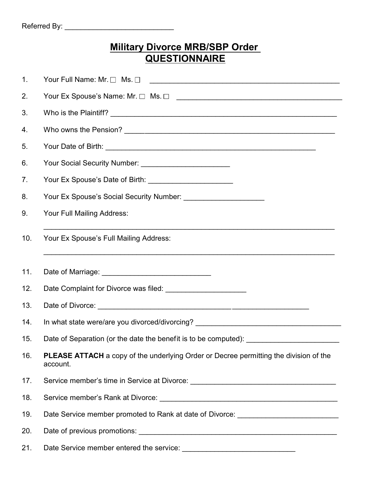## **Military Divorce MRB/SBP Order QUESTIONNAIRE**

| 1.  | Your Full Name: Mr. □ Ms. □<br><u> 1989 - Johann Stoff, deutscher Stoff, der Stoff, der Stoff, der Stoff, der Stoff, der Stoff, der Stoff, der S</u> |
|-----|------------------------------------------------------------------------------------------------------------------------------------------------------|
| 2.  |                                                                                                                                                      |
| 3.  |                                                                                                                                                      |
| 4.  |                                                                                                                                                      |
| 5.  |                                                                                                                                                      |
| 6.  | Your Social Security Number: ___________________________                                                                                             |
| 7.  |                                                                                                                                                      |
| 8.  |                                                                                                                                                      |
| 9.  | Your Full Mailing Address:                                                                                                                           |
| 10. | Your Ex Spouse's Full Mailing Address:                                                                                                               |
| 11. |                                                                                                                                                      |
| 12. | Date Complaint for Divorce was filed: ________________________                                                                                       |
| 13. |                                                                                                                                                      |
| 14. | In what state were/are you divorced/divorcing? _________________________________                                                                     |
| 15. |                                                                                                                                                      |
| 16. | <b>PLEASE ATTACH</b> a copy of the underlying Order or Decree permitting the division of the<br>account.                                             |
| 17. | Service member's time in Service at Divorce: ___________________________________                                                                     |
| 18. |                                                                                                                                                      |
| 19. | Date Service member promoted to Rank at date of Divorce: _______________________                                                                     |
| 20. |                                                                                                                                                      |
| 21. |                                                                                                                                                      |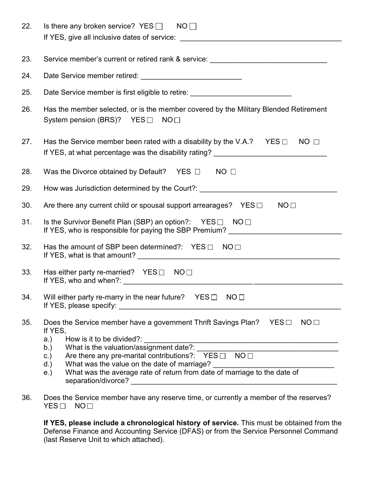| 22. | Is there any broken service? $YES \Box$ NO                                                                                                                                                                                                                                                                                                                                                                                                                                 |
|-----|----------------------------------------------------------------------------------------------------------------------------------------------------------------------------------------------------------------------------------------------------------------------------------------------------------------------------------------------------------------------------------------------------------------------------------------------------------------------------|
| 23. | Service member's current or retired rank & service: ____________________________                                                                                                                                                                                                                                                                                                                                                                                           |
| 24. |                                                                                                                                                                                                                                                                                                                                                                                                                                                                            |
| 25. | Date Service member is first eligible to retire: _______________________________                                                                                                                                                                                                                                                                                                                                                                                           |
| 26. | Has the member selected, or is the member covered by the Military Blended Retirement<br>System pension (BRS)? YES $\Box$ NO $\Box$                                                                                                                                                                                                                                                                                                                                         |
| 27. | Has the Service member been rated with a disability by the V.A.? YES $\Box$ NO $\Box$<br>If YES, at what percentage was the disability rating? __________________________                                                                                                                                                                                                                                                                                                  |
| 28. | Was the Divorce obtained by Default? YES $\Box$ NO $\Box$                                                                                                                                                                                                                                                                                                                                                                                                                  |
| 29. | How was Jurisdiction determined by the Court?: _________________________________                                                                                                                                                                                                                                                                                                                                                                                           |
| 30. | Are there any current child or spousal support arrearages? $YES \Box$<br>NO <sub>1</sub>                                                                                                                                                                                                                                                                                                                                                                                   |
| 31. | Is the Survivor Benefit Plan (SBP) an option?: $YES \Box \quad NO \Box$                                                                                                                                                                                                                                                                                                                                                                                                    |
| 32. | Has the amount of SBP been determined?: $YES \Box \quad NO \Box$                                                                                                                                                                                                                                                                                                                                                                                                           |
| 33. | Has either party re-married? $YES \Box NO \Box$                                                                                                                                                                                                                                                                                                                                                                                                                            |
| 34. | Will either party re-marry in the near future? $YES \Box NO \Box$                                                                                                                                                                                                                                                                                                                                                                                                          |
| 35. | Does the Service member have a government Thrift Savings Plan? YES $\Box$ NO $\Box$<br>If YES,<br>How is it to be divided?:<br>a.)<br>What is the valuation/assignment date?:<br>b.)<br><u> 1989 - Johann Barbara, martxa alemaniar amerikan a</u><br>Are there any pre-marital contributions?: $YES \Box \ \ \ \ \ NO \Box$<br>C.<br>What was the value on the date of marriage?<br>What was the average rate of return from date of marriage to the date of<br>d.<br>e.) |
| 36. | Does the Service member have any reserve time, or currently a member of the reserves?<br>YES<br>NO <sub>1</sub>                                                                                                                                                                                                                                                                                                                                                            |

**If YES, please include a chronological history of service.** This must be obtained from the Defense Finance and Accounting Service (DFAS) or from the Service Personnel Command (last Reserve Unit to which attached).